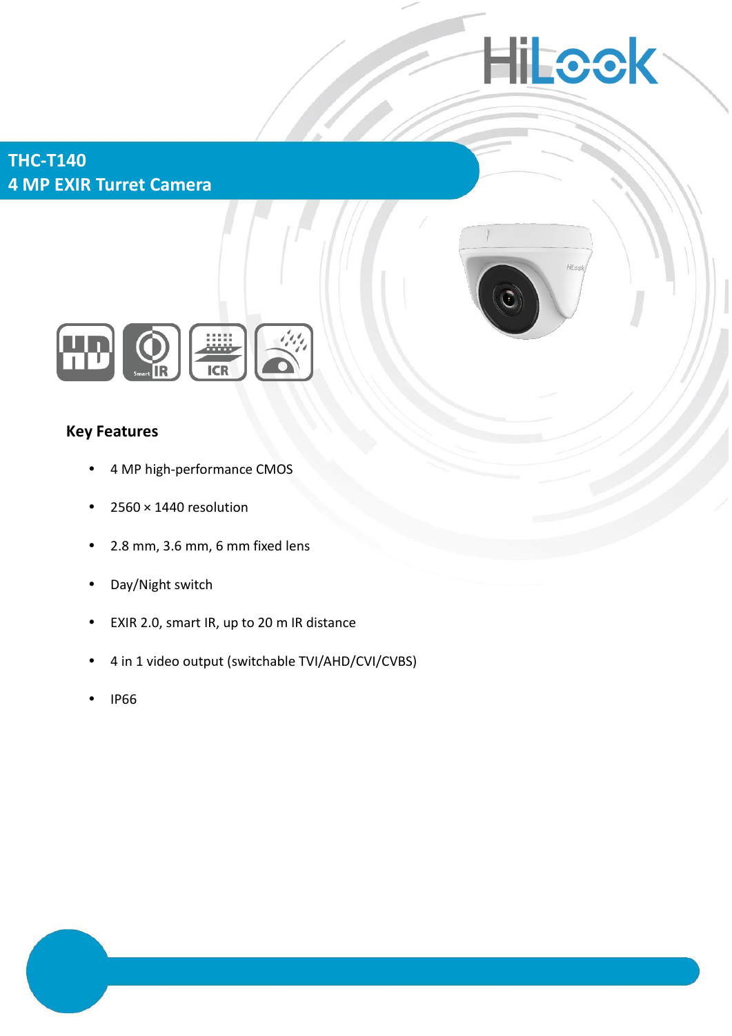# **Hilcok**

**THC-T140 4 MP EXIR Turret Camera**





## **Key Features**

- 4 MP high-performance CMOS
- $\cdot$  2560  $\times$  1440 resolution
- 2.8 mm, 3.6 mm, 6 mm fixed lens
- Day/Night switch
- EXIR 2.0, smart IR, up to 20 m IR distance
- 4 in 1 video output (switchable TVI/AHD/CVI/CVBS)
- IP66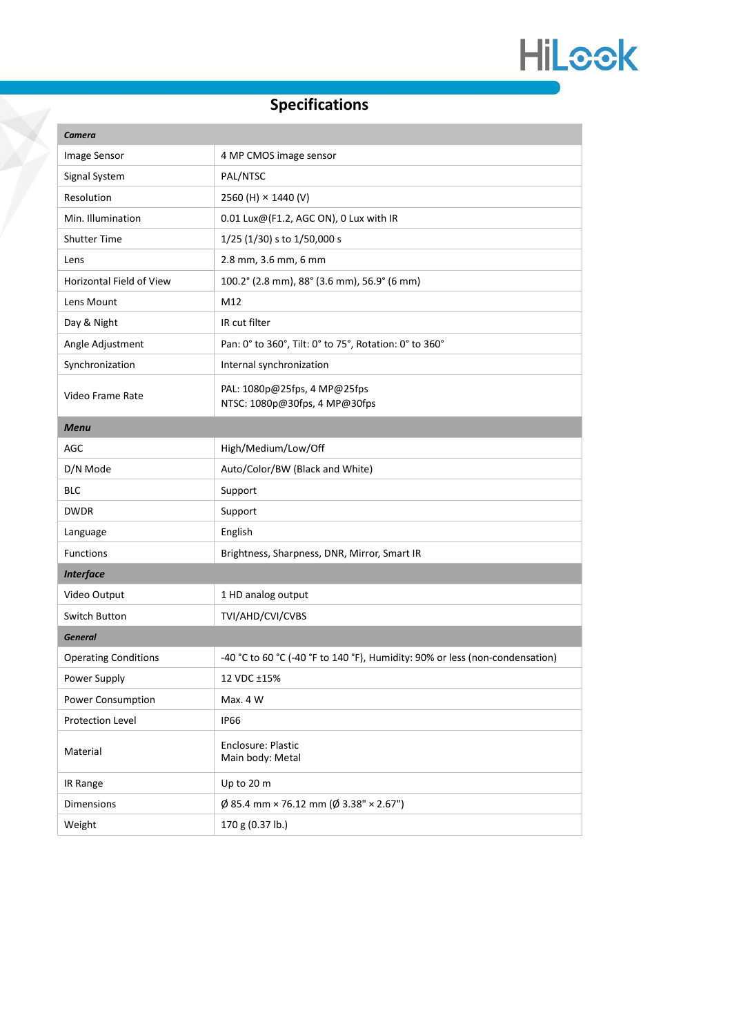

# **Specifications**

| Camera                      |                                                                              |
|-----------------------------|------------------------------------------------------------------------------|
| Image Sensor                | 4 MP CMOS image sensor                                                       |
| Signal System               | PAL/NTSC                                                                     |
| Resolution                  | 2560 (H) × 1440 (V)                                                          |
| Min. Illumination           | 0.01 Lux@(F1.2, AGC ON), 0 Lux with IR                                       |
| <b>Shutter Time</b>         | 1/25 (1/30) s to 1/50,000 s                                                  |
| Lens                        | 2.8 mm, 3.6 mm, 6 mm                                                         |
| Horizontal Field of View    | 100.2° (2.8 mm), 88° (3.6 mm), 56.9° (6 mm)                                  |
| Lens Mount                  | M12                                                                          |
| Day & Night                 | IR cut filter                                                                |
| Angle Adjustment            | Pan: 0° to 360°, Tilt: 0° to 75°, Rotation: 0° to 360°                       |
| Synchronization             | Internal synchronization                                                     |
| Video Frame Rate            | PAL: 1080p@25fps, 4 MP@25fps<br>NTSC: 1080p@30fps, 4 MP@30fps                |
| <b>Menu</b>                 |                                                                              |
| <b>AGC</b>                  | High/Medium/Low/Off                                                          |
| D/N Mode                    | Auto/Color/BW (Black and White)                                              |
| BLC                         | Support                                                                      |
| <b>DWDR</b>                 | Support                                                                      |
| Language                    | English                                                                      |
| <b>Functions</b>            | Brightness, Sharpness, DNR, Mirror, Smart IR                                 |
| <b>Interface</b>            |                                                                              |
| Video Output                | 1 HD analog output                                                           |
| Switch Button               | TVI/AHD/CVI/CVBS                                                             |
| <b>General</b>              |                                                                              |
| <b>Operating Conditions</b> | -40 °C to 60 °C (-40 °F to 140 °F), Humidity: 90% or less (non-condensation) |
| Power Supply                | 12 VDC ±15%                                                                  |
| Power Consumption           | Max. 4 W                                                                     |
| Protection Level            | <b>IP66</b>                                                                  |
| Material                    | Enclosure: Plastic<br>Main body: Metal                                       |
| IR Range                    | Up to 20 m                                                                   |
| Dimensions                  | $\emptyset$ 85.4 mm × 76.12 mm ( $\emptyset$ 3.38" × 2.67")                  |
| Weight                      | 170 g (0.37 lb.)                                                             |